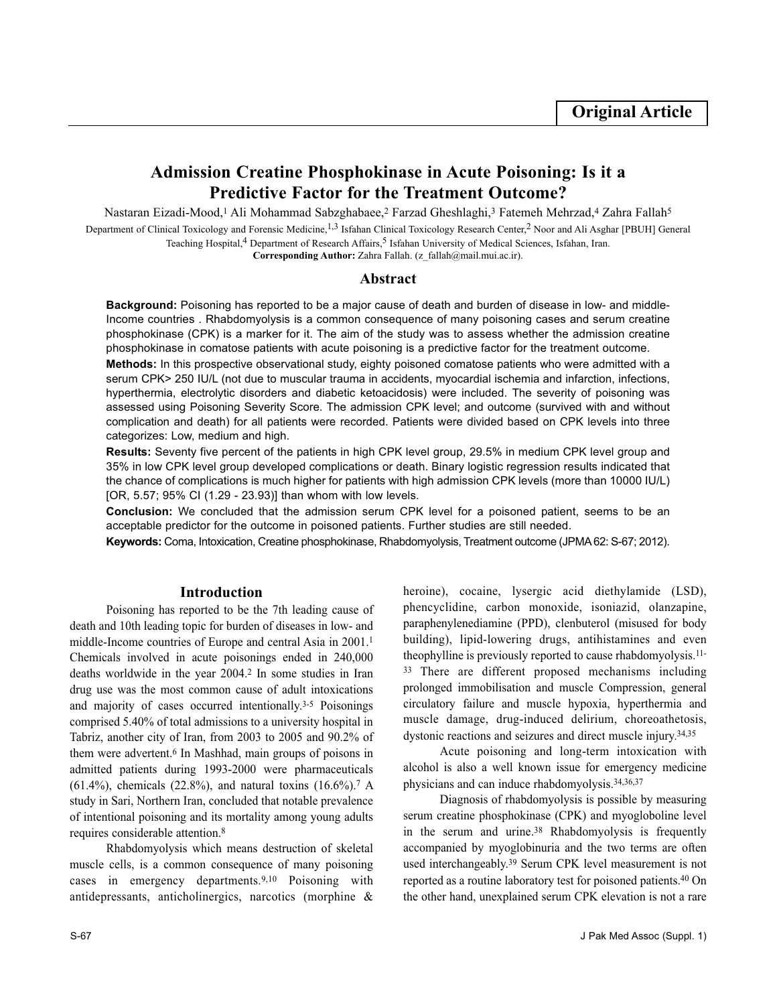# **Admission Creatine Phosphokinase in Acute Poisoning: Is it a Predictive Factor for the Treatment Outcome?**

Nastaran Eizadi-Mood,<sup>1</sup> Ali Mohammad Sabzghabaee,<sup>2</sup> Farzad Gheshlaghi,<sup>3</sup> Fatemeh Mehrzad,4 Zahra Fallah<sup>5</sup> Department of Clinical Toxicology and Forensic Medicine,<sup>1,3</sup> Isfahan Clinical Toxicology Research Center,<sup>2</sup> Noor and Ali Asghar [PBUH] General Teaching Hospital,<sup>4</sup> Department of Research Affairs,<sup>5</sup> Isfahan University of Medical Sciences, Isfahan, Iran. **Corresponding Author:** Zahra Fallah. (z\_fallah@mail.mui.ac.ir).

# **Abstract**

**Background:** Poisoning has reported to be a major cause of death and burden of disease in low- and middle-Income countries . Rhabdomyolysis is a common consequence of many poisoning cases and serum creatine phosphokinase (CPK) is a marker for it. The aim of the study was to assess whether the admission creatine phosphokinase in comatose patients with acute poisoning is a predictive factor for the treatment outcome.

**Methods:** In this prospective observational study, eighty poisoned comatose patients who were admitted with a serum CPK> 250 IU/L (not due to muscular trauma in accidents, myocardial ischemia and infarction, infections, hyperthermia, electrolytic disorders and diabetic ketoacidosis) were included. The severity of poisoning was assessed using Poisoning Severity Score. The admission CPK level; and outcome (survived with and without complication and death) for all patients were recorded. Patients were divided based on CPK levels into three categorizes: Low, medium and high.

**Results:** Seventy five percent of the patients in high CPK level group, 29.5% in medium CPK level group and 35% in low CPK level group developed complications or death. Binary logistic regression results indicated that the chance of complications is much higher for patients with high admission CPK levels (more than 10000 IU/L) [OR, 5.57; 95% CI (1.29 - 23.93)] than whom with low levels.

**Conclusion:** We concluded that the admission serum CPK level for a poisoned patient, seems to be an acceptable predictor for the outcome in poisoned patients. Further studies are still needed.

**Keywords:** Coma, Intoxication, Creatine phosphokinase, Rhabdomyolysis, Treatment outcome (JPMA 62: S-67; 2012).

## **Introduction**

Poisoning has reported to be the 7th leading cause of death and 10th leading topic for burden of diseases in low- and middle-Income countries of Europe and central Asia in 2001.<sup>1</sup> Chemicals involved in acute poisonings ended in 240,000 deaths worldwide in the year 2004.<sup>2</sup> In some studies in Iran drug use was the most common cause of adult intoxications and majority of cases occurred intentionally.3-5 Poisonings comprised 5.40% of total admissions to a university hospital in Tabriz, another city of Iran, from 2003 to 2005 and 90.2% of them were advertent.<sup>6</sup> In Mashhad, main groups of poisons in admitted patients during 1993-2000 were pharmaceuticals (61.4%), chemicals (22.8%), and natural toxins (16.6%).<sup>7</sup> A study in Sari, Northern Iran, concluded that notable prevalence of intentional poisoning and its mortality among young adults requires considerable attention.<sup>8</sup>

Rhabdomyolysis which means destruction of skeletal muscle cells, is a common consequence of many poisoning cases in emergency departments.9,10 Poisoning with antidepressants, anticholinergics, narcotics (morphine &

heroine), cocaine, lysergic acid diethylamide (LSD), phencyclidine, carbon monoxide, isoniazid, olanzapine, paraphenylenediamine (PPD), clenbuterol (misused for body building), lipid-lowering drugs, antihistamines and even theophylline is previously reported to cause rhabdomyolysis.11- <sup>33</sup> There are different proposed mechanisms including prolonged immobilisation and muscle Compression, general circulatory failure and muscle hypoxia, hyperthermia and muscle damage, drug-induced delirium, choreoathetosis, dystonic reactions and seizures and direct muscle injury.34,35

Acute poisoning and long-term intoxication with alcohol is also a well known issue for emergency medicine physicians and can induce rhabdomyolysis.34,36,37

Diagnosis of rhabdomyolysis is possible by measuring serum creatine phosphokinase (CPK) and myogloboline level in the serum and urine.<sup>38</sup> Rhabdomyolysis is frequently accompanied by myoglobinuria and the two terms are often used interchangeably.<sup>39</sup> Serum CPK level measurement is not reported as a routine laboratory test for poisoned patients.<sup>40</sup> On the other hand, unexplained serum CPK elevation is not a rare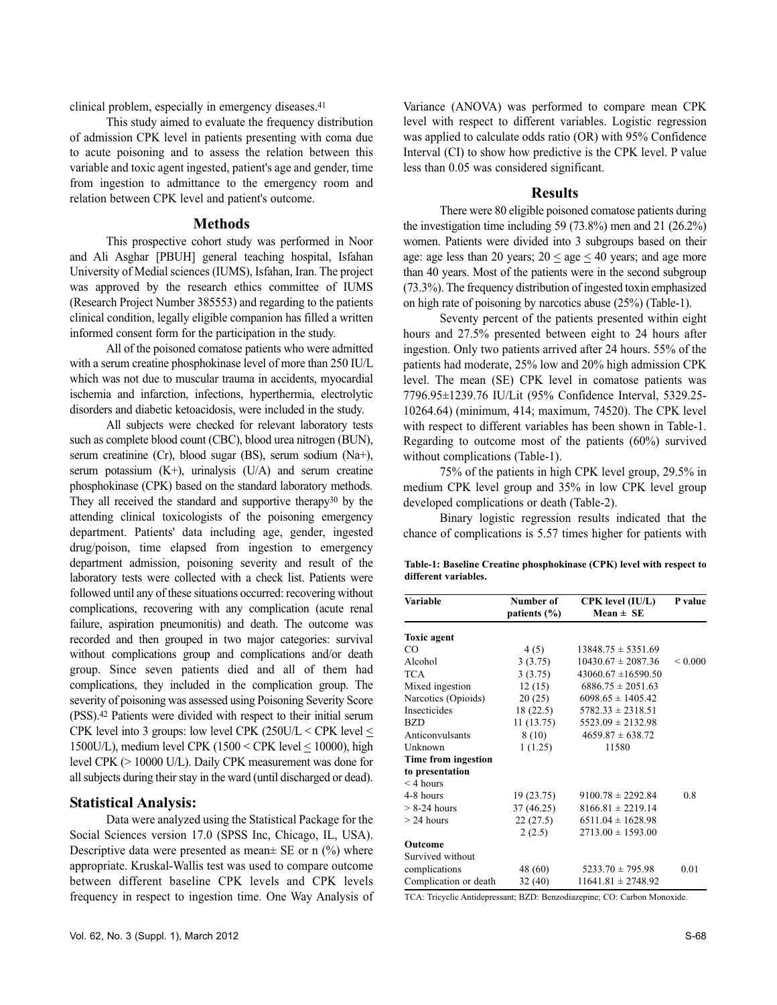clinical problem, especially in emergency diseases.<sup>41</sup>

This study aimed to evaluate the frequency distribution of admission CPK level in patients presenting with coma due to acute poisoning and to assess the relation between this variable and toxic agent ingested, patient's age and gender, time from ingestion to admittance to the emergency room and relation between CPK level and patient's outcome.

## **Methods**

This prospective cohort study was performed in Noor and Ali Asghar [PBUH] general teaching hospital, Isfahan University of Medial sciences (IUMS), Isfahan, Iran. The project was approved by the research ethics committee of IUMS (Research Project Number 385553) and regarding to the patients clinical condition, legally eligible companion has filled a written informed consent form for the participation in the study.

All of the poisoned comatose patients who were admitted with a serum creatine phosphokinase level of more than 250 IU/L which was not due to muscular trauma in accidents, myocardial ischemia and infarction, infections, hyperthermia, electrolytic disorders and diabetic ketoacidosis, were included in the study.

All subjects were checked for relevant laboratory tests such as complete blood count (CBC), blood urea nitrogen (BUN), serum creatinine (Cr), blood sugar (BS), serum sodium (Na+), serum potassium  $(K+)$ , urinalysis  $(U/A)$  and serum creatine phosphokinase (CPK) based on the standard laboratory methods. They all received the standard and supportive therapy<sup>30</sup> by the attending clinical toxicologists of the poisoning emergency department. Patients' data including age, gender, ingested drug/poison, time elapsed from ingestion to emergency department admission, poisoning severity and result of the laboratory tests were collected with a check list. Patients were followed until any of these situations occurred: recovering without complications, recovering with any complication (acute renal failure, aspiration pneumonitis) and death. The outcome was recorded and then grouped in two major categories: survival without complications group and complications and/or death group. Since seven patients died and all of them had complications, they included in the complication group. The severity of poisoning was assessed using Poisoning Severity Score (PSS).<sup>42</sup> Patients were divided with respect to their initial serum CPK level into 3 groups: low level CPK (250U/L  $\leq$  CPK level  $\leq$ 1500U/L), medium level CPK (1500 < CPK level < 10000), high level CPK (> 10000 U/L). Daily CPK measurement was done for all subjects during their stay in the ward (until discharged or dead).

# **Statistical Analysis:**

Data were analyzed using the Statistical Package for the Social Sciences version 17.0 (SPSS Inc, Chicago, IL, USA). Descriptive data were presented as mean $\pm$  SE or n (%) where appropriate. Kruskal-Wallis test was used to compare outcome between different baseline CPK levels and CPK levels frequency in respect to ingestion time. One Way Analysis of

Variance (ANOVA) was performed to compare mean CPK level with respect to different variables. Logistic regression was applied to calculate odds ratio (OR) with 95% Confidence Interval (CI) to show how predictive is the CPK level. P value less than 0.05 was considered significant.

#### **Results**

There were 80 eligible poisoned comatose patients during the investigation time including 59 (73.8%) men and 21 (26.2%) women. Patients were divided into 3 subgroups based on their age: age less than 20 years;  $20 \le$  age  $\le$  40 years; and age more than 40 years. Most of the patients were in the second subgroup (73.3%). The frequency distribution of ingested toxin emphasized on high rate of poisoning by narcotics abuse (25%) (Table-1).

Seventy percent of the patients presented within eight hours and 27.5% presented between eight to 24 hours after ingestion. Only two patients arrived after 24 hours. 55% of the patients had moderate, 25% low and 20% high admission CPK level. The mean (SE) CPK level in comatose patients was 7796.95±1239.76 IU/Lit (95% Confidence Interval, 5329.25- 10264.64) (minimum, 414; maximum, 74520). The CPK level with respect to different variables has been shown in Table-1. Regarding to outcome most of the patients (60%) survived without complications (Table-1).

75% of the patients in high CPK level group, 29.5% in medium CPK level group and 35% in low CPK level group developed complications or death (Table-2).

Binary logistic regression results indicated that the chance of complications is 5.57 times higher for patients with

**Table-1: Baseline Creatine phosphokinase (CPK) level with respect to different variables.**

| Variable              | Number of        | CPK level (IU/L)        | P value      |
|-----------------------|------------------|-------------------------|--------------|
|                       | patients $(\% )$ | $Mean \pm SE$           |              |
| <b>Toxic agent</b>    |                  |                         |              |
| CO                    | 4(5)             | $13848.75 \pm 5351.69$  |              |
| Alcohol               | 3(3.75)          | $10430.67 \pm 2087.36$  | ${}_{0.000}$ |
| <b>TCA</b>            | 3(3.75)          | $43060.67 \pm 16590.50$ |              |
| Mixed ingestion       | 12(15)           | $6886.75 \pm 2051.63$   |              |
| Narcotics (Opioids)   | 20(25)           | $6098.65 \pm 1405.42$   |              |
| Insecticides          | 18(22.5)         | $5782.33 \pm 2318.51$   |              |
| <b>BZD</b>            | 11 (13.75)       | $5523.09 \pm 2132.98$   |              |
| Anticonvulsants       | 8 (10)           | $4659.87 \pm 638.72$    |              |
| Unknown               | 1(1.25)          | 11580                   |              |
| Time from ingestion   |                  |                         |              |
| to presentation       |                  |                         |              |
| $<$ 4 hours           |                  |                         |              |
| 4-8 hours             | 19 (23.75)       | $9100.78 \pm 2292.84$   | 0.8          |
| $> 8-24$ hours        | 37 (46.25)       | $8166.81 \pm 2219.14$   |              |
| $> 24$ hours          | 22(27.5)         | $6511.04 \pm 1628.98$   |              |
|                       | 2(2.5)           | $2713.00 \pm 1593.00$   |              |
| Outcome               |                  |                         |              |
| Survived without      |                  |                         |              |
| complications         | 48 (60)          | $5233.70 \pm 795.98$    | 0.01         |
| Complication or death | 32(40)           | $11641.81 \pm 2748.92$  |              |

TCA: Tricyclic Antidepressant; BZD: Benzodiazepine; CO: Carbon Monoxide.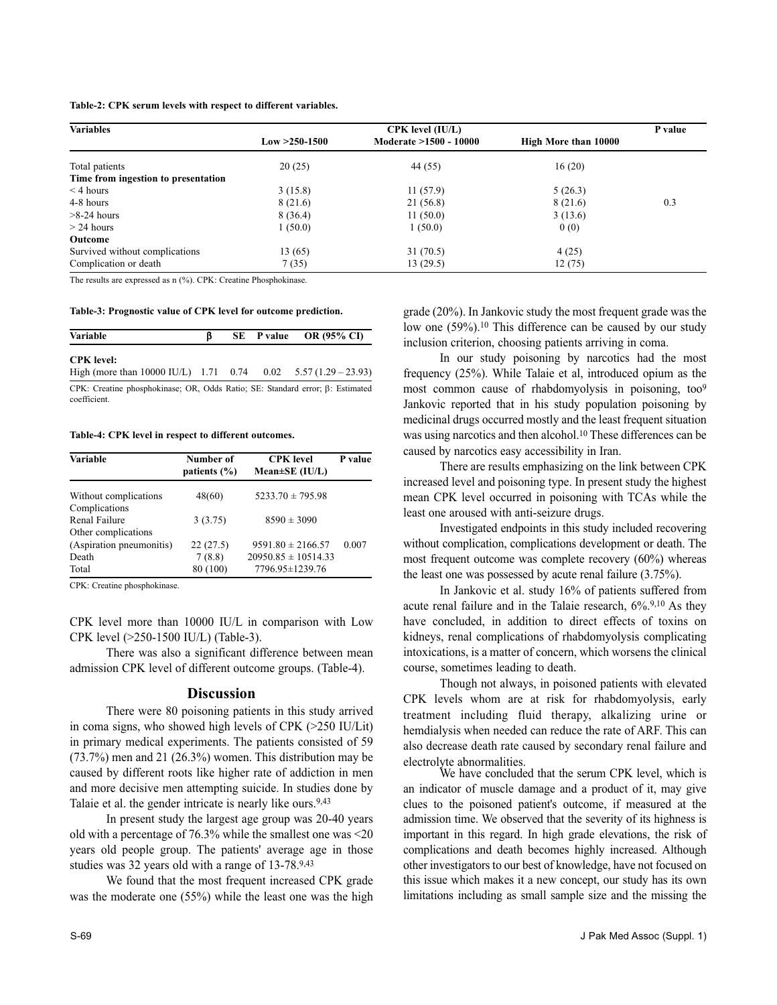#### **Table-2: CPK serum levels with respect to different variables.**

| <b>Variables</b>                    | <b>CPK</b> level (IU/L) |                        |                      |     |  |
|-------------------------------------|-------------------------|------------------------|----------------------|-----|--|
|                                     | $Low > 250-1500$        | Moderate >1500 - 10000 | High More than 10000 |     |  |
| Total patients                      | 20(25)                  | 44 (55)                | 16(20)               |     |  |
| Time from ingestion to presentation |                         |                        |                      |     |  |
| $\leq$ 4 hours                      | 3(15.8)                 | 11(57.9)               | 5(26.3)              |     |  |
| 4-8 hours                           | 8(21.6)                 | 21 (56.8)              | 8(21.6)              | 0.3 |  |
| $>8-24$ hours                       | 8(36.4)                 | 11(50.0)               | 3(13.6)              |     |  |
| $>$ 24 hours                        | 1(50.0)                 | 1(50.0)                | 0(0)                 |     |  |
| Outcome                             |                         |                        |                      |     |  |
| Survived without complications      | 13 (65)                 | 31(70.5)               | 4(25)                |     |  |
| Complication or death               | 7(35)                   | 13(29.5)               | 12(75)               |     |  |

The results are expressed as n (%). CPK: Creatine Phosphokinase.

| Table-3: Prognostic value of CPK level for outcome prediction. |  |  |  |
|----------------------------------------------------------------|--|--|--|
|----------------------------------------------------------------|--|--|--|

| <b>Variable</b>                                                |  | $SE$ P value OR (95% CI) |
|----------------------------------------------------------------|--|--------------------------|
| <b>CPK</b> level:                                              |  |                          |
| High (more than 10000 IU/L) 1.71 0.74 0.02 5.57 (1.29 – 23.93) |  |                          |

CPK: Creatine phosphokinase; OR, Odds Ratio; SE: Standard error; β: Estimated coefficient.

#### **Table-4: CPK level in respect to different outcomes.**

| Variable                 | Number of<br>patients $(\% )$ | <b>CPK</b> level<br>$Mean \pm SE$ (IU/L) | P value |
|--------------------------|-------------------------------|------------------------------------------|---------|
| Without complications    | 48(60)                        | $5233.70 \pm 795.98$                     |         |
| Complications            |                               |                                          |         |
| Renal Failure            | 3(3.75)                       | $8590 \pm 3090$                          |         |
| Other complications      |                               |                                          |         |
| (Aspiration pneumonitis) | 22(27.5)                      | $9591.80 \pm 2166.57$                    | 0.007   |
| Death                    | 7(8.8)                        | $20950.85 \pm 10514.33$                  |         |
| Total                    | 80 (100)                      | 7796.95±1239.76                          |         |

CPK: Creatine phosphokinase.

CPK level more than 10000 IU/L in comparison with Low CPK level (>250-1500 IU/L) (Table-3).

There was also a significant difference between mean admission CPK level of different outcome groups. (Table-4).

#### **Discussion**

There were 80 poisoning patients in this study arrived in coma signs, who showed high levels of CPK (>250 IU/Lit) in primary medical experiments. The patients consisted of 59 (73.7%) men and 21 (26.3%) women. This distribution may be caused by different roots like higher rate of addiction in men and more decisive men attempting suicide. In studies done by Talaie et al. the gender intricate is nearly like ours.<sup>9,43</sup>

In present study the largest age group was 20-40 years old with a percentage of 76.3% while the smallest one was <20 years old people group. The patients' average age in those studies was 32 years old with a range of 13-78.9,43

We found that the most frequent increased CPK grade was the moderate one (55%) while the least one was the high grade (20%). In Jankovic study the most frequent grade was the low one (59%).<sup>10</sup> This difference can be caused by our study inclusion criterion, choosing patients arriving in coma.

In our study poisoning by narcotics had the most frequency (25%). While Talaie et al, introduced opium as the most common cause of rhabdomyolysis in poisoning, too<sup>9</sup> Jankovic reported that in his study population poisoning by medicinal drugs occurred mostly and the least frequent situation was using narcotics and then alcohol.<sup>10</sup> These differences can be caused by narcotics easy accessibility in Iran.

There are results emphasizing on the link between CPK increased level and poisoning type. In present study the highest mean CPK level occurred in poisoning with TCAs while the least one aroused with anti-seizure drugs.

Investigated endpoints in this study included recovering without complication, complications development or death. The most frequent outcome was complete recovery (60%) whereas the least one was possessed by acute renal failure (3.75%).

In Jankovic et al. study 16% of patients suffered from acute renal failure and in the Talaie research, 6%.9,10 As they have concluded, in addition to direct effects of toxins on kidneys, renal complications of rhabdomyolysis complicating intoxications, is a matter of concern, which worsens the clinical course, sometimes leading to death.

Though not always, in poisoned patients with elevated CPK levels whom are at risk for rhabdomyolysis, early treatment including fluid therapy, alkalizing urine or hemdialysis when needed can reduce the rate of ARF. This can also decrease death rate caused by secondary renal failure and electrolyte abnormalities.

We have concluded that the serum CPK level, which is an indicator of muscle damage and a product of it, may give clues to the poisoned patient's outcome, if measured at the admission time. We observed that the severity of its highness is important in this regard. In high grade elevations, the risk of complications and death becomes highly increased. Although other investigators to our best of knowledge, have not focused on this issue which makes it a new concept, our study has its own limitations including as small sample size and the missing the